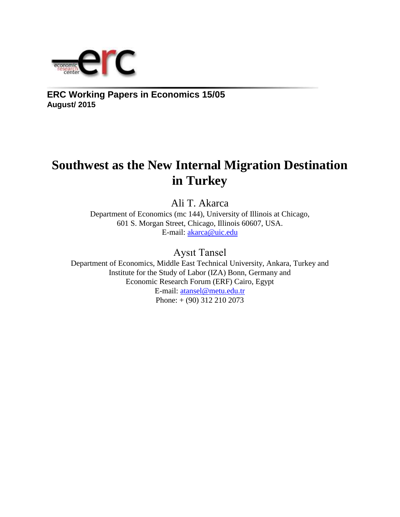

**ERC Working Papers in Economics 15/05 August/ 2015**

# **Southwest as the New Internal Migration Destination in Turkey**

Ali T. Akarca

Department of Economics (mc 144), University of Illinois at Chicago, 601 S. Morgan Street, Chicago, Illinois 60607, USA. E-mail: [akarca@uic.edu](mailto:akarca@uic.edu)

Aysıt Tansel

Department of Economics, Middle East Technical University, Ankara, Turkey and Institute for the Study of Labor (IZA) Bonn, Germany and Economic Research Forum (ERF) Cairo, Egypt E-mail: [atansel@metu.edu.tr](mailto:atansel@metu.edu.tr) Phone: + (90) 312 210 2073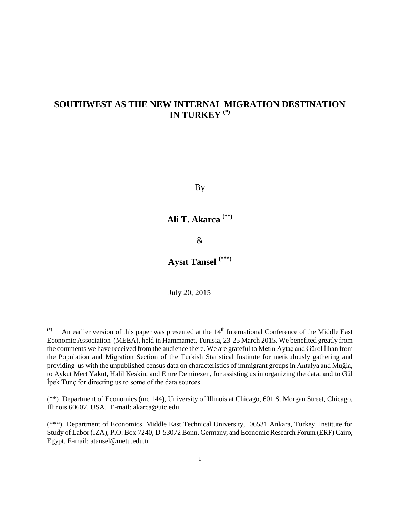# **SOUTHWEST AS THE NEW INTERNAL MIGRATION DESTINATION IN TURKEY (\*)**

By

**Ali T. Akarca (\*\*)**

&

**Aysıt Tansel (\*\*\*)**

July 20, 2015

 $(*)$  An earlier version of this paper was presented at the  $14<sup>th</sup>$  International Conference of the Middle East Economic Association (MEEA), held in Hammamet, Tunisia, 23-25 March 2015. We benefited greatly from the comments we have received from the audience there. We are grateful to Metin Aytaç and Gürol İlhan from the Population and Migration Section of the Turkish Statistical Institute for meticulously gathering and providing us with the unpublished census data on characteristics of immigrant groups in Antalya and Muğla, to Aykut Mert Yakut, Halil Keskin, and Emre Demirezen, for assisting us in organizing the data, and to Gül İpek Tunç for directing us to some of the data sources.

(\*\*) Department of Economics (mc 144), University of Illinois at Chicago, 601 S. Morgan Street, Chicago, Illinois 60607, USA. E-mail: akarca@uic.edu

(\*\*\*) Department of Economics, Middle East Technical University, 06531 Ankara, Turkey, Institute for Study of Labor (IZA), P.O. Box 7240, D-53072 Bonn, Germany, and Economic Research Forum (ERF) Cairo, Egypt. E-mail: atansel@metu.edu.tr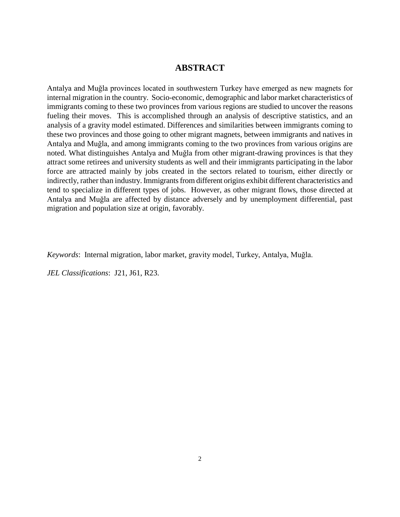# **ABSTRACT**

Antalya and Muğla provinces located in southwestern Turkey have emerged as new magnets for internal migration in the country. Socio-economic, demographic and labor market characteristics of immigrants coming to these two provinces from various regions are studied to uncover the reasons fueling their moves. This is accomplished through an analysis of descriptive statistics, and an analysis of a gravity model estimated. Differences and similarities between immigrants coming to these two provinces and those going to other migrant magnets, between immigrants and natives in Antalya and Muğla, and among immigrants coming to the two provinces from various origins are noted. What distinguishes Antalya and Muğla from other migrant-drawing provinces is that they attract some retirees and university students as well and their immigrants participating in the labor force are attracted mainly by jobs created in the sectors related to tourism, either directly or indirectly, rather than industry. Immigrants from different origins exhibit different characteristics and tend to specialize in different types of jobs. However, as other migrant flows, those directed at Antalya and Muğla are affected by distance adversely and by unemployment differential, past migration and population size at origin, favorably.

*Keywords*: Internal migration, labor market, gravity model, Turkey, Antalya, Muğla.

*JEL Classifications*: J21, J61, R23.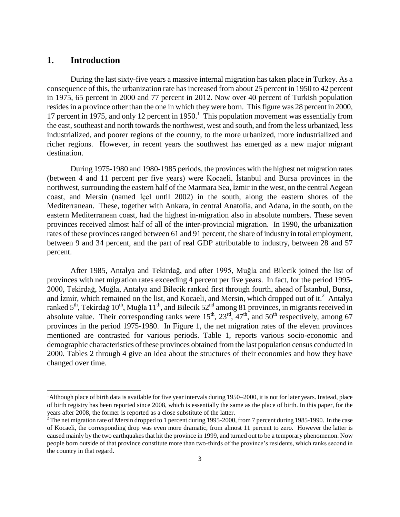# **1. Introduction**

 $\overline{a}$ 

During the last sixty-five years a massive internal migration has taken place in Turkey. As a consequence of this, the urbanization rate has increased from about 25 percent in 1950 to 42 percent in 1975, 65 percent in 2000 and 77 percent in 2012. Now over 40 percent of Turkish population resides in a province other than the one in which they were born. This figure was 28 percent in 2000, 17 percent in 1975, and only 12 percent in 1950.<sup>1</sup> This population movement was essentially from the east, southeast and north towards the northwest, west and south, and from the less urbanized, less industrialized, and poorer regions of the country, to the more urbanized, more industrialized and richer regions. However, in recent years the southwest has emerged as a new major migrant destination.

During 1975-1980 and 1980-1985 periods, the provinces with the highest net migration rates (between 4 and 11 percent per five years) were Kocaeli, İstanbul and Bursa provinces in the northwest, surrounding the eastern half of the Marmara Sea, İzmir in the west, on the central Aegean coast, and Mersin (named İçel until 2002) in the south, along the eastern shores of the Mediterranean. These, together with Ankara, in central Anatolia, and Adana, in the south, on the eastern Mediterranean coast, had the highest in-migration also in absolute numbers. These seven provinces received almost half of all of the inter-provincial migration. In 1990, the urbanization rates of these provinces ranged between 61 and 91 percent, the share of industry in total employment, between 9 and 34 percent, and the part of real GDP attributable to industry, between 28 and 57 percent.

After 1985, Antalya and Tekirdağ, and after 1995, Muğla and Bilecik joined the list of provinces with net migration rates exceeding 4 percent per five years. In fact, for the period 1995- 2000, Tekirdağ, Muğla, Antalya and Bilecik ranked first through fourth, ahead of İstanbul, Bursa, and İzmir, which remained on the list, and Kocaeli, and Mersin, which dropped out of it. <sup>2</sup> Antalya ranked 5<sup>th</sup>, Tekirdağ 10<sup>th</sup>, Muğla 11<sup>th</sup>, and Bilecik 52<sup>nd</sup> among 81 provinces, in migrants received in absolute value. Their corresponding ranks were  $15^{\text{th}}$ ,  $23^{\text{rd}}$ ,  $47^{\text{th}}$ , and  $50^{\text{th}}$  respectively, among 67 provinces in the period 1975-1980. In Figure 1, the net migration rates of the eleven provinces mentioned are contrasted for various periods. Table 1, reports various socio-economic and demographic characteristics of these provinces obtained from the last population census conducted in 2000. Tables 2 through 4 give an idea about the structures of their economies and how they have changed over time.

<sup>&</sup>lt;sup>1</sup>Although place of birth data is available for five year intervals during 1950–2000, it is not for later years. Instead, place of birth registry has been reported since 2008, which is essentially the same as the place of birth. In this paper, for the years after 2008, the former is reported as a close substitute of the latter.

 $2^2$ The net migration rate of Mersin dropped to 1 percent during 1995-2000, from 7 percent during 1985-1990. In the case of Kocaeli, the corresponding drop was even more dramatic, from almost 11 percent to zero. However the latter is caused mainly by the two earthquakes that hit the province in 1999, and turned out to be a temporary phenomenon. Now people born outside of that province constitute more than two-thirds of the province's residents, which ranks second in the country in that regard.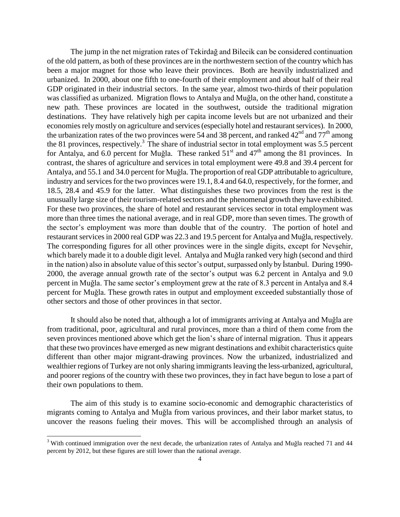The jump in the net migration rates of Tekirdağ and Bilecik can be considered continuation of the old pattern, as both of these provinces are in the northwestern section of the country which has been a major magnet for those who leave their provinces. Both are heavily industrialized and urbanized. In 2000, about one fifth to one-fourth of their employment and about half of their real GDP originated in their industrial sectors. In the same year, almost two-thirds of their population was classified as urbanized. Migration flows to Antalya and Muğla, on the other hand, constitute a new path. These provinces are located in the southwest, outside the traditional migration destinations. They have relatively high per capita income levels but are not urbanized and their economies rely mostly on agriculture and services(especially hotel and restaurant services). In 2000, the urbanization rates of the two provinces were 54 and 38 percent, and ranked  $42<sup>nd</sup>$  and  $77<sup>th</sup>$  among the 81 provinces, respectively.<sup>3</sup> The share of industrial sector in total employment was 5.5 percent for Antalya, and 6.0 percent for Muğla. These ranked  $51<sup>st</sup>$  and  $47<sup>th</sup>$  among the 81 provinces. In contrast, the shares of agriculture and services in total employment were 49.8 and 39.4 percent for Antalya, and 55.1 and 34.0 percent for Muğla. The proportion of real GDP attributable to agriculture, industry and services for the two provinces were 19.1, 8.4 and 64.0, respectively, for the former, and 18.5, 28.4 and 45.9 for the latter. What distinguishes these two provinces from the rest is the unusually large size of their tourism-related sectors and the phenomenal growth they have exhibited. For these two provinces, the share of hotel and restaurant services sector in total employment was more than three times the national average, and in real GDP, more than seven times. The growth of the sector's employment was more than double that of the country. The portion of hotel and restaurant services in 2000 real GDP was 22.3 and 19.5 percent for Antalya and Muğla, respectively. The corresponding figures for all other provinces were in the single digits, except for Nevşehir, which barely made it to a double digit level. Antalya and Muğla ranked very high (second and third in the nation) also in absolute value of this sector's output, surpassed only by İstanbul. During 1990- 2000, the average annual growth rate of the sector's output was 6.2 percent in Antalya and 9.0 percent in Muğla. The same sector's employment grew at the rate of 8.3 percent in Antalya and 8.4 percent for Muğla. These growth rates in output and employment exceeded substantially those of other sectors and those of other provinces in that sector.

It should also be noted that, although a lot of immigrants arriving at Antalya and Muğla are from traditional, poor, agricultural and rural provinces, more than a third of them come from the seven provinces mentioned above which get the lion's share of internal migration. Thus it appears that these two provinces have emerged as new migrant destinations and exhibit characteristics quite different than other major migrant-drawing provinces. Now the urbanized, industrialized and wealthier regions of Turkey are not only sharing immigrants leaving the less-urbanized, agricultural, and poorer regions of the country with these two provinces, they in fact have begun to lose a part of their own populations to them.

The aim of this study is to examine socio-economic and demographic characteristics of migrants coming to Antalya and Muğla from various provinces, and their labor market status, to uncover the reasons fueling their moves. This will be accomplished through an analysis of

 $\overline{a}$ 

<sup>&</sup>lt;sup>3</sup> With continued immigration over the next decade, the urbanization rates of Antalya and Muğla reached 71 and 44 percent by 2012, but these figures are still lower than the national average.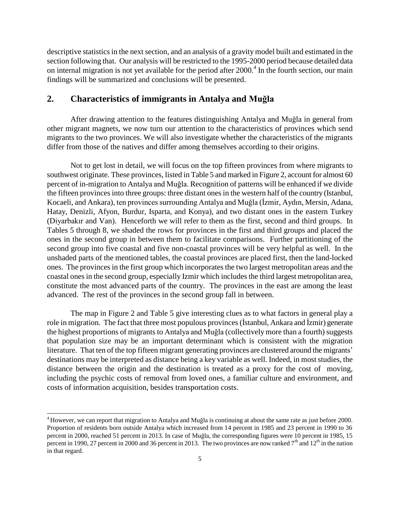descriptive statistics in the next section, and an analysis of a gravity model built and estimated in the section following that. Our analysis will be restricted to the 1995-2000 period because detailed data on internal migration is not yet available for the period after  $2000$ .<sup>4</sup> In the fourth section, our main findings will be summarized and conclusions will be presented.

## **2. Characteristics of immigrants in Antalya and Muğla**

After drawing attention to the features distinguishing Antalya and Muğla in general from other migrant magnets, we now turn our attention to the characteristics of provinces which send migrants to the two provinces. We will also investigate whether the characteristics of the migrants differ from those of the natives and differ among themselves according to their origins.

Not to get lost in detail, we will focus on the top fifteen provinces from where migrants to southwest originate. These provinces, listed in Table 5 and marked in Figure 2, account for almost 60 percent of in-migration to Antalya and Muğla. Recognition of patterns will be enhanced if we divide the fifteen provinces into three groups: three distant onesin the western half of the country (Istanbul, Kocaeli, and Ankara), ten provinces surrounding Antalya and Muğla (İzmir, Aydın, Mersin, Adana, Hatay, Denizli, Afyon, Burdur, Isparta, and Konya), and two distant ones in the eastern Turkey (Diyarbakır and Van). Henceforth we will refer to them as the first, second and third groups. In Tables 5 through 8, we shaded the rows for provinces in the first and third groups and placed the ones in the second group in between them to facilitate comparisons. Further partitioning of the second group into five coastal and five non-coastal provinces will be very helpful as well. In the unshaded parts of the mentioned tables, the coastal provinces are placed first, then the land-locked ones. The provinces in the first group which incorporates the two largest metropolitan areas and the coastal ones in the second group, especially Izmir which includes the third largest metropolitan area, constitute the most advanced parts of the country. The provinces in the east are among the least advanced. The rest of the provinces in the second group fall in between.

The map in Figure 2 and Table 5 give interesting clues as to what factors in general play a role in migration. The fact that three most populous provinces (İstanbul, Ankara and İzmir) generate the highest proportions of migrants to Antalya and Muğla (collectively more than a fourth) suggests that population size may be an important determinant which is consistent with the migration literature. That ten of the top fifteen migrant generating provinces are clustered around the migrants' destinations may be interpreted as distance being a key variable as well. Indeed, in most studies, the distance between the origin and the destination is treated as a proxy for the cost of moving, including the psychic costs of removal from loved ones, a familiar culture and environment, and costs of information acquisition, besides transportation costs.

 $\overline{a}$ 

<sup>&</sup>lt;sup>4</sup> However, we can report that migration to Antalya and Muğla is continuing at about the same rate as just before 2000. Proportion of residents born outside Antalya which increased from 14 percent in 1985 and 23 percent in 1990 to 36 percent in 2000, reached 51 percent in 2013. In case of Muğla, the corresponding figures were 10 percent in 1985, 15 percent in 1990, 27 percent in 2000 and 36 percent in 2013. The two provinces are now ranked  $7<sup>th</sup>$  and  $12<sup>th</sup>$  in the nation in that regard.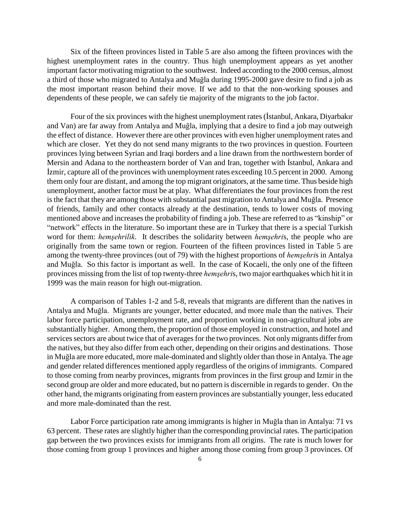Six of the fifteen provinces listed in Table 5 are also among the fifteen provinces with the highest unemployment rates in the country. Thus high unemployment appears as yet another important factor motivating migration to the southwest. Indeed according to the 2000 census, almost a third of those who migrated to Antalya and Muğla during 1995-2000 gave desire to find a job as the most important reason behind their move. If we add to that the non-working spouses and dependents of these people, we can safely tie majority of the migrants to the job factor.

Four of the six provinces with the highest unemployment rates (İstanbul, Ankara, Diyarbakır and Van) are far away from Antalya and Muğla, implying that a desire to find a job may outweigh the effect of distance. However there are other provinces with even higher unemployment rates and which are closer. Yet they do not send many migrants to the two provinces in question. Fourteen provinces lying between Syrian and Iraqi borders and a line drawn from the northwestern border of Mersin and Adana to the northeastern border of Van and Iran, together with İstanbul, Ankara and İzmir, capture all of the provinces with unemployment rates exceeding 10.5 percent in 2000. Among them only four are distant, and among the top migrant originators, at the same time. Thus beside high unemployment, another factor must be at play. What differentiates the four provinces from the rest is the fact that they are among those with substantial past migration to Antalya and Muğla. Presence of friends, family and other contacts already at the destination, tends to lower costs of moving mentioned above and increases the probability of finding a job. These are referred to as "kinship" or "network" effects in the literature. So important these are in Turkey that there is a special Turkish word for them: *hemşehrilik.* It describes the solidarity between *hemşehri*s, the people who are originally from the same town or region. Fourteen of the fifteen provinces listed in Table 5 are among the twenty-three provinces (out of 79) with the highest proportions of *hemşehri*s in Antalya and Muğla. So this factor is important as well. In the case of Kocaeli, the only one of the fifteen provinces missing from the list of top twenty-three *hemşehri*s, two major earthquakes which hit it in 1999 was the main reason for high out-migration.

A comparison of Tables 1-2 and 5-8, reveals that migrants are different than the natives in Antalya and Muğla. Migrants are younger, better educated, and more male than the natives. Their labor force participation, unemployment rate, and proportion working in non-agricultural jobs are substantially higher. Among them, the proportion of those employed in construction, and hotel and services sectors are about twice that of averages for the two provinces. Not only migrants differ from the natives, but they also differ from each other, depending on their origins and destinations. Those in Muğla are more educated, more male-dominated and slightly older than those in Antalya. The age and gender related differences mentioned apply regardless of the origins of immigrants. Compared to those coming from nearby provinces, migrants from provinces in the first group and Izmir in the second group are older and more educated, but no pattern is discernible in regards to gender. On the other hand, the migrants originating from eastern provinces are substantially younger, less educated and more male-dominated than the rest.

Labor Force participation rate among immigrants is higher in Muğla than in Antalya: 71 vs 63 percent. These rates are slightly higher than the corresponding provincial rates. The participation gap between the two provinces exists for immigrants from all origins. The rate is much lower for those coming from group 1 provinces and higher among those coming from group 3 provinces. Of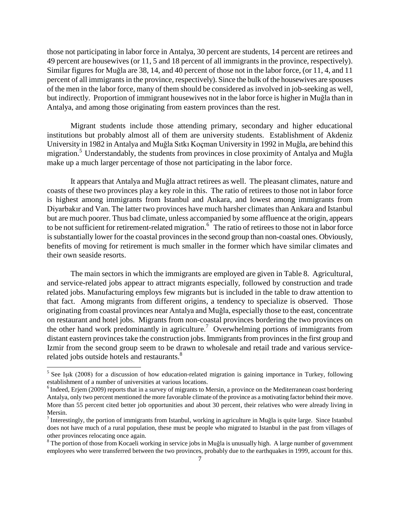those not participating in labor force in Antalya, 30 percent are students, 14 percent are retirees and 49 percent are housewives (or 11, 5 and 18 percent of all immigrants in the province, respectively). Similar figures for Muğla are 38, 14, and 40 percent of those not in the labor force, (or 11, 4, and 11 percent of all immigrants in the province, respectively). Since the bulk of the housewives are spouses of the men in the labor force, many of them should be considered as involved in job-seeking as well, but indirectly. Proportion of immigrant housewives not in the labor force is higher in Muğla than in Antalya, and among those originating from eastern provinces than the rest.

Migrant students include those attending primary, secondary and higher educational institutions but probably almost all of them are university students. Establishment of Akdeniz University in 1982 in Antalya and Muğla Sıtkı Koçman University in 1992 in Muğla, are behind this migration.<sup>5</sup> Understandably, the students from provinces in close proximity of Antalya and Muğla make up a much larger percentage of those not participating in the labor force.

It appears that Antalya and Muğla attract retirees as well. The pleasant climates, nature and coasts of these two provinces play a key role in this. The ratio of retirees to those not in labor force is highest among immigrants from Istanbul and Ankara, and lowest among immigrants from Diyarbakır and Van. The latter two provinces have much harsher climates than Ankara and Istanbul but are much poorer. Thus bad climate, unless accompanied by some affluence at the origin, appears to be not sufficient for retirement-related migration. $\frac{1}{2}$  The ratio of retirees to those not in labor force is substantially lower for the coastal provinces in the second group than non-coastal ones. Obviously, benefits of moving for retirement is much smaller in the former which have similar climates and their own seaside resorts.

The main sectors in which the immigrants are employed are given in Table 8. Agricultural, and service-related jobs appear to attract migrants especially, followed by construction and trade related jobs. Manufacturing employs few migrants but is included in the table to draw attention to that fact. Among migrants from different origins, a tendency to specialize is observed. Those originating from coastal provinces near Antalya and Muğla, especially those to the east, concentrate on restaurant and hotel jobs. Migrants from non-coastal provinces bordering the two provinces on the other hand work predominantly in agriculture.<sup>7</sup> Overwhelming portions of immigrants from distant eastern provinces take the construction jobs. Immigrants from provinces in the first group and Izmir from the second group seem to be drawn to wholesale and retail trade and various servicerelated jobs outside hotels and restaurants.<sup>8</sup>

<sup>&</sup>lt;sup>5</sup> See Işık (2008) for a discussion of how education-related migration is gaining importance in Turkey, following establishment of a number of universities at various locations.

 $6$ Indeed, Erjem (2009) reports that in a survey of migrants to Mersin, a province on the Mediterranean coast bordering Antalya, only two percent mentioned the more favorable climate of the province as a motivating factor behind their move. More than 55 percent cited better job opportunities and about 30 percent, their relatives who were already living in Mersin.

<sup>&</sup>lt;sup>7</sup> Interestingly, the portion of immigrants from Istanbul, working in agriculture in Muğla is quite large. Since Istanbul does not have much of a rural population, these must be people who migrated to Istanbul in the past from villages of other provinces relocating once again.

<sup>&</sup>lt;sup>8</sup> The portion of those from Kocaeli working in service jobs in Muğla is unusually high. A large number of government employees who were transferred between the two provinces, probably due to the earthquakes in 1999, account for this.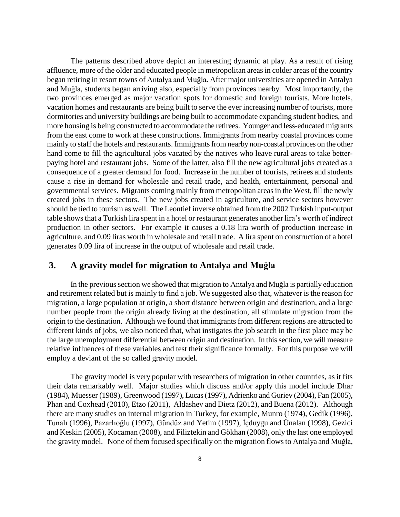The patterns described above depict an interesting dynamic at play. As a result of rising affluence, more of the older and educated people in metropolitan areas in colder areas of the country began retiring in resort towns of Antalya and Muğla. After major universities are opened in Antalya and Muğla, students began arriving also, especially from provinces nearby. Most importantly, the two provinces emerged as major vacation spots for domestic and foreign tourists. More hotels, vacation homes and restaurants are being built to serve the ever increasing number of tourists, more dormitories and university buildings are being built to accommodate expanding student bodies, and more housing is being constructed to accommodate the retirees. Younger and less-educated migrants from the east come to work at these constructions. Immigrants from nearby coastal provinces come mainly to staff the hotels and restaurants. Immigrants from nearby non-coastal provinces on the other hand come to fill the agricultural jobs vacated by the natives who leave rural areas to take betterpaying hotel and restaurant jobs. Some of the latter, also fill the new agricultural jobs created as a consequence of a greater demand for food. Increase in the number of tourists, retirees and students cause a rise in demand for wholesale and retail trade, and health, entertainment, personal and governmental services. Migrants coming mainly from metropolitan areas in the West, fill the newly created jobs in these sectors. The new jobs created in agriculture, and service sectors however should be tied to tourism as well. The Leontief inverse obtained from the 2002 Turkish input-output table shows that a Turkish lira spent in a hotel or restaurant generates another lira's worth of indirect production in other sectors. For example it causes a 0.18 lira worth of production increase in agriculture, and 0.09 liras worth in wholesale and retail trade. A lira spent on construction of a hotel generates 0.09 lira of increase in the output of wholesale and retail trade.

# **3. A gravity model for migration to Antalya and Muğla**

In the previous section we showed that migration to Antalya and Muğla is partially education and retirement related but is mainly to find a job. We suggested also that, whatever is the reason for migration, a large population at origin, a short distance between origin and destination, and a large number people from the origin already living at the destination, all stimulate migration from the origin to the destination. Although we found that immigrants from different regions are attracted to different kinds of jobs, we also noticed that, what instigates the job search in the first place may be the large unemployment differential between origin and destination. In this section, we will measure relative influences of these variables and test their significance formally. For this purpose we will employ a deviant of the so called gravity model.

The gravity model is very popular with researchers of migration in other countries, as it fits their data remarkably well. Major studies which discuss and/or apply this model include Dhar (1984), Muesser (1989), Greenwood (1997), Lucas (1997), Adrienko and Guriev (2004), Fan (2005), Phan and Coxhead (2010), Etzo (2011), Aldashev and Dietz (2012), and Buena (2012). Although there are many studies on internal migration in Turkey, for example, Munro (1974), Gedik (1996), Tunalı (1996), Pazarlıoğlu (1997), Gündüz and Yetim (1997), İçduygu and Ünalan (1998), Gezici and Keskin (2005), Kocaman (2008), and Filiztekin and Gökhan (2008), only the last one employed the gravity model. None of them focused specifically on the migration flows to Antalya and Muğla,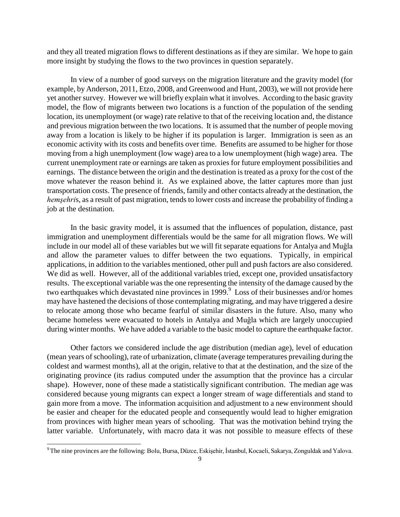and they all treated migration flows to different destinations as if they are similar. We hope to gain more insight by studying the flows to the two provinces in question separately.

In view of a number of good surveys on the migration literature and the gravity model (for example, by Anderson, 2011, Etzo, 2008, and Greenwood and Hunt, 2003), we will not provide here yet another survey. However we will briefly explain what it involves. According to the basic gravity model, the flow of migrants between two locations is a function of the population of the sending location, its unemployment (or wage) rate relative to that of the receiving location and, the distance and previous migration between the two locations. It is assumed that the number of people moving away from a location is likely to be higher if its population is larger. Immigration is seen as an economic activity with its costs and benefits over time. Benefits are assumed to be higher for those moving from a high unemployment (low wage) area to a low unemployment (high wage) area. The current unemployment rate or earnings are taken as proxies for future employment possibilities and earnings. The distance between the origin and the destination is treated as a proxy for the cost of the move whatever the reason behind it. As we explained above, the latter captures more than just transportation costs. The presence of friends, family and other contacts already at the destination, the *hemşehri*s, as a result of past migration, tends to lower costs and increase the probability of finding a job at the destination.

In the basic gravity model, it is assumed that the influences of population, distance, past immigration and unemployment differentials would be the same for all migration flows. We will include in our model all of these variables but we will fit separate equations for Antalya and Muğla and allow the parameter values to differ between the two equations. Typically, in empirical applications, in addition to the variables mentioned, other pull and push factors are also considered. We did as well. However, all of the additional variables tried, except one, provided unsatisfactory results. The exceptional variable was the one representing the intensity of the damage caused by the two earthquakes which devastated nine provinces in 1999. $9$  Loss of their businesses and/or homes may have hastened the decisions of those contemplating migrating, and may have triggered a desire to relocate among those who became fearful of similar disasters in the future. Also, many who became homeless were evacuated to hotels in Antalya and Muğla which are largely unoccupied during winter months. We have added a variable to the basic model to capture the earthquake factor.

Other factors we considered include the age distribution (median age), level of education (mean years of schooling), rate of urbanization, climate (average temperatures prevailing during the coldest and warmest months), all at the origin, relative to that at the destination, and the size of the originating province (its radius computed under the assumption that the province has a circular shape). However, none of these made a statistically significant contribution. The median age was considered because young migrants can expect a longer stream of wage differentials and stand to gain more from a move. The information acquisition and adjustment to a new environment should be easier and cheaper for the educated people and consequently would lead to higher emigration from provinces with higher mean years of schooling. That was the motivation behind trying the latter variable. Unfortunately, with macro data it was not possible to measure effects of these

l

<sup>&</sup>lt;sup>9</sup>The nine provinces are the following: Bolu, Bursa, Düzce, Eskişehir, İstanbul, Kocaeli, Sakarya, Zonguldak and Yalova.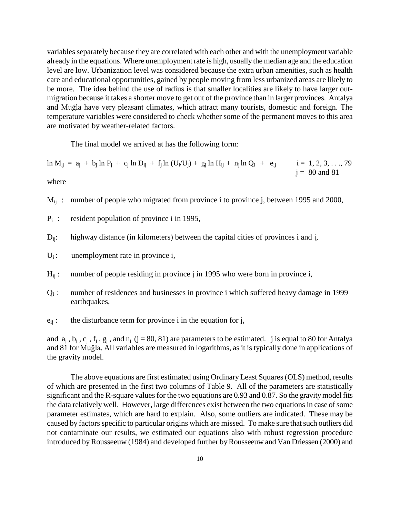variables separately because they are correlated with each other and with the unemployment variable already in the equations. Where unemployment rate is high, usually the median age and the education level are low. Urbanization level was considered because the extra urban amenities, such as health care and educational opportunities, gained by people moving from less urbanized areas are likely to be more. The idea behind the use of radius is that smaller localities are likely to have larger outmigration because it takes a shorter move to get out of the province than in larger provinces. Antalya and Muğla have very pleasant climates, which attract many tourists, domestic and foreign. The temperature variables were considered to check whether some of the permanent moves to this area are motivated by weather-related factors.

The final model we arrived at has the following form:

$$
\ln M_{ij} = a_j + b_j \ln P_j + c_j \ln D_{ij} + f_j \ln (U_i/U_j) + g_j \ln H_{ij} + n_j \ln Q_i + e_{ij} \qquad \begin{array}{l} i = 1, 2, 3, ..., 79 \\ j = 80 \text{ and } 81 \end{array}
$$

where

- $M_{ij}$  : number of people who migrated from province i to province j, between 1995 and 2000,
- $P_i$ : resident population of province i in 1995,
- $D_{ii}$ : highway distance (in kilometers) between the capital cities of provinces i and j,
- $U_i$ : unemployment rate in province i,
- $H_{ii}$ : number of people residing in province j in 1995 who were born in province i,
- $Q_i$ : number of residences and businesses in province i which suffered heavy damage in 1999 earthquakes,
- $e_{ii}$ : the disturbance term for province i in the equation for j,

and  $a_j$ ,  $b_j$ ,  $c_j$ ,  $f_j$ ,  $g_j$ , and  $n_j$  ( $j = 80, 81$ ) are parameters to be estimated. j is equal to 80 for Antalya and 81 for Muğla. All variables are measured in logarithms, as it is typically done in applications of the gravity model.

The above equations are first estimated using Ordinary Least Squares(OLS) method, results of which are presented in the first two columns of Table 9. All of the parameters are statistically significant and the R-square values for the two equations are 0.93 and 0.87. So the gravity model fits the data relatively well. However, large differences exist between the two equations in case of some parameter estimates, which are hard to explain. Also, some outliers are indicated. These may be caused by factors specific to particular origins which are missed. To make sure that such outliers did not contaminate our results, we estimated our equations also with robust regression procedure introduced by Rousseeuw (1984) and developed further by Rousseeuw and Van Driessen (2000) and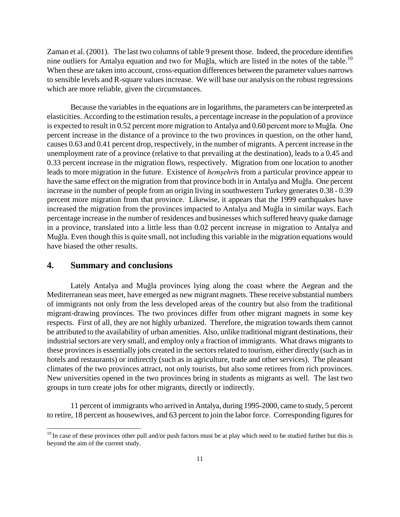Zaman et al. (2001). The last two columns of table 9 present those. Indeed, the procedure identifies nine outliers for Antalya equation and two for Muğla, which are listed in the notes of the table.<sup>10</sup> When these are taken into account, cross-equation differences between the parameter values narrows to sensible levels and R-square values increase. We will base our analysis on the robust regressions which are more reliable, given the circumstances.

Because the variables in the equations are in logarithms, the parameters can be interpreted as elasticities. According to the estimation results, a percentage increase in the population of a province is expected to result in 0.52 percent more migration to Antalya and 0.60 percent more to Muğla. One percent increase in the distance of a province to the two provinces in question, on the other hand, causes 0.63 and 0.41 percent drop, respectively, in the number of migrants. A percent increase in the unemployment rate of a province (relative to that prevailing at the destination), leads to a 0.45 and 0.33 percent increase in the migration flows, respectively. Migration from one location to another leads to more migration in the future. Existence of *hemşehri*s from a particular province appear to have the same effect on the migration from that province both in in Antalya and Muğla. One percent increase in the number of people from an origin living in southwestern Turkey generates 0.38 - 0.39 percent more migration from that province. Likewise, it appears that the 1999 earthquakes have increased the migration from the provinces impacted to Antalya and Muğla in similar ways. Each percentage increase in the number of residences and businesses which suffered heavy quake damage in a province, translated into a little less than 0.02 percent increase in migration to Antalya and Muğla. Even though this is quite small, not including this variable in the migration equations would have biased the other results.

# **4. Summary and conclusions**

 $\overline{a}$ 

Lately Antalya and Muğla provinces lying along the coast where the Aegean and the Mediterranean seas meet, have emerged as new migrant magnets. These receive substantial numbers of immigrants not only from the less developed areas of the country but also from the traditional migrant-drawing provinces. The two provinces differ from other migrant magnets in some key respects. First of all, they are not highly urbanized. Therefore, the migration towards them cannot be attributed to the availability of urban amenities. Also, unlike traditional migrant destinations, their industrial sectors are very small, and employ only a fraction of immigrants. What draws migrants to these provinces is essentially jobs created in the sectors related to tourism, either directly (such as in hotels and restaurants) or indirectly (such as in agriculture, trade and other services). The pleasant climates of the two provinces attract, not only tourists, but also some retirees from rich provinces. New universities opened in the two provinces bring in students as migrants as well. The last two groups in turn create jobs for other migrants, directly or indirectly.

11 percent of immigrants who arrived in Antalya, during 1995-2000, came to study, 5 percent to retire, 18 percent as housewives, and 63 percent to join the labor force. Corresponding figures for

 $10$  In case of these provinces other pull and/or push factors must be at play which need to be studied further but this is beyond the aim of the current study.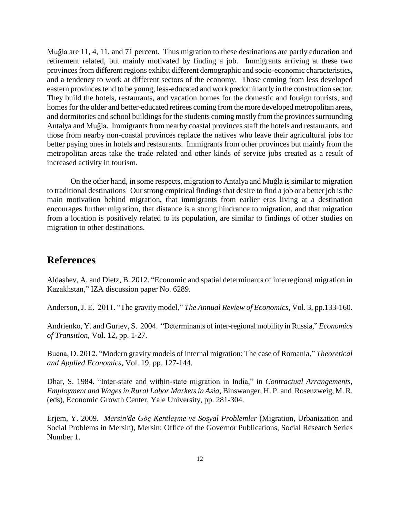Muğla are 11, 4, 11, and 71 percent. Thus migration to these destinations are partly education and retirement related, but mainly motivated by finding a job. Immigrants arriving at these two provinces from different regions exhibit different demographic and socio-economic characteristics, and a tendency to work at different sectors of the economy. Those coming from less developed eastern provinces tend to be young, less-educated and work predominantly in the construction sector. They build the hotels, restaurants, and vacation homes for the domestic and foreign tourists, and homes for the older and better-educated retirees coming from the more developed metropolitan areas, and dormitories and school buildings for the students coming mostly from the provinces surrounding Antalya and Muğla. Immigrants from nearby coastal provinces staff the hotels and restaurants, and those from nearby non-coastal provinces replace the natives who leave their agricultural jobs for better paying ones in hotels and restaurants. Immigrants from other provinces but mainly from the metropolitan areas take the trade related and other kinds of service jobs created as a result of increased activity in tourism.

On the other hand, in some respects, migration to Antalya and Muğla is similar to migration to traditional destinations Our strong empirical findings that desire to find a job or a better job is the main motivation behind migration, that immigrants from earlier eras living at a destination encourages further migration, that distance is a strong hindrance to migration, and that migration from a location is positively related to its population, are similar to findings of other studies on migration to other destinations.

# **References**

Aldashev, A. and Dietz, B. 2012. "Economic and spatial determinants of interregional migration in Kazakhstan," IZA discussion paper No. 6289.

Anderson, J. E. 2011. "The gravity model," *The Annual Review of Economics*, Vol. 3, pp.133-160.

Andrienko, Y. and Guriev, S. 2004. "Determinants of inter-regional mobility in Russia," *Economics of Transition*, Vol. 12, pp. 1-27.

Buena, D. 2012. "Modern gravity models of internal migration: The case of Romania," *Theoretical and Applied Economics,* Vol. 19, pp. 127-144.

Dhar, S. 1984. "Inter-state and within-state migration in India," in *Contractual Arrangements, Employment and Wages in Rural Labor Markets in Asia*, Binswanger, H. P. and Rosenzweig, M. R. (eds), Economic Growth Center, Yale University, pp. 281-304.

Erjem, Y. 2009*. Mersin'de Göç Kentleşme ve Sosyal Problemler* (Migration, Urbanization and Social Problems in Mersin), Mersin: Office of the Governor Publications, Social Research Series Number 1.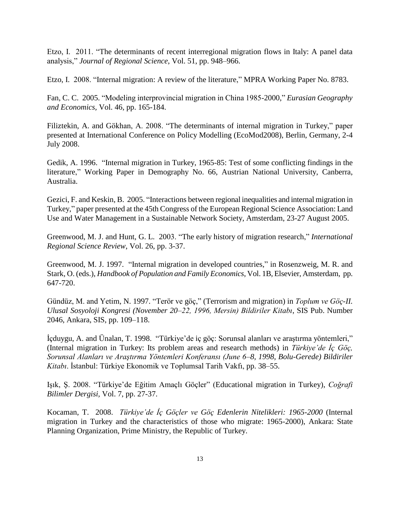Etzo, I. 2011. "The determinants of recent interregional migration flows in Italy: A panel data analysis," *Journal of Regional Science*, Vol. 51, pp. 948–966.

Etzo, I. 2008. "Internal migration: A review of the literature," MPRA Working Paper No. 8783.

Fan, C. C. 2005. "Modeling interprovincial migration in China 1985-2000," *Eurasian Geography and Economics,* Vol. 46, pp. 165-184.

Filiztekin, A. and Gökhan, A. 2008. "The determinants of internal migration in Turkey," paper presented at International Conference on Policy Modelling (EcoMod2008), Berlin, Germany, 2-4 July 2008.

Gedik, A. 1996. "Internal migration in Turkey, 1965-85: Test of some conflicting findings in the literature," Working Paper in Demography No. 66, Austrian National University, Canberra, Australia.

Gezici, F. and Keskin, B. 2005. "Interactions between regional inequalities and internal migration in Turkey," paper presented at the 45th Congress of the European Regional Science Association: Land Use and Water Management in a Sustainable Network Society, Amsterdam, 23-27 August 2005.

Greenwood, M. J. and Hunt, G. L. 2003. "The early history of migration research," *International Regional Science Review*, Vol. 26, pp. 3-37.

Greenwood, M. J. 1997. "Internal migration in developed countries," in Rosenzweig, M. R. and Stark, O. (eds.), *Handbook of Population and Family Economics*, Vol. 1B, Elsevier, Amsterdam, pp. 647-720.

Gündüz, M. and Yetim, N. 1997. "Terör ve göç," (Terrorism and migration) in *Toplum ve Göç-II. Ulusal Sosyoloji Kongresi (November 20–22, 1996, Mersin) Bildiriler Kitabı*, SIS Pub. Number 2046, Ankara, SIS, pp. 109–118.

İçduygu, A. and Ünalan, T. 1998. "Türkiye'de iç göç: Sorunsal alanları ve araştırma yöntemleri," (Internal migration in Turkey: Its problem areas and research methods) in *Türkiye'de İç Göç, Sorunsal Alanları ve Araştırma Yöntemleri Konferansı (June 6–8, 1998, Bolu-Gerede) Bildiriler Kitabı*. İstanbul: Türkiye Ekonomik ve Toplumsal Tarih Vakfı, pp. 38–55.

Işık, Ş. 2008. "Türkiye'de Eğitim Amaçlı Göçler" (Educational migration in Turkey), *Coğrafi Bilimler Dergisi,* Vol. 7, pp. 27-37.

Kocaman, T. 2008. *Türkiye'de İç Göçler ve Göç Edenlerin Nitelikleri: 1965-2000* (Internal migration in Turkey and the characteristics of those who migrate: 1965-2000), Ankara: State Planning Organization, Prime Ministry, the Republic of Turkey.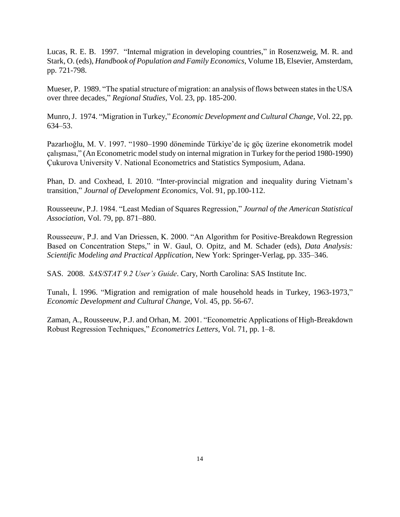Lucas, R. E. B. 1997. "Internal migration in developing countries," in Rosenzweig, M. R. and Stark, O. (eds), *Handbook of Population and Family Economics*, Volume 1B, Elsevier, Amsterdam, pp. 721-798.

Mueser, P. 1989. "The spatial structure of migration: an analysis of flows between states in the USA over three decades," *Regional Studies*, Vol. 23, pp. 185-200.

Munro, J. 1974. "Migration in Turkey," *Economic Development and Cultural Change*, Vol. 22, pp. 634–53.

Pazarlıoğlu, M. V. 1997. "1980–1990 döneminde Türkiye'de iç göç üzerine ekonometrik model çalışması," (An Econometric model study on internal migration in Turkey for the period 1980-1990) Çukurova University V. National Econometrics and Statistics Symposium, Adana.

Phan, D. and Coxhead, I. 2010. "Inter-provincial migration and inequality during Vietnam's transition," *Journal of Development Economics*, Vol. 91, pp.100-112.

Rousseeuw, P.J. 1984. "Least Median of Squares Regression," *Journal of the American Statistical Association*, Vol. 79, pp. 871–880.

Rousseeuw, P.J. and Van Driessen, K. 2000. "An Algorithm for Positive-Breakdown Regression Based on Concentration Steps," in W. Gaul, O. Opitz, and M. Schader (eds), *Data Analysis: Scientific Modeling and Practical Application*, New York: Springer-Verlag, pp. 335–346.

SAS. 2008. *SAS/STAT 9.2 User's Guide*. Cary, North Carolina: SAS Institute Inc.

Tunalı, İ. 1996. "Migration and remigration of male household heads in Turkey, 1963-1973," *Economic Development and Cultural Change*, Vol. 45, pp. 56-67.

Zaman, A., Rousseeuw, P.J. and Orhan, M. 2001. "Econometric Applications of High-Breakdown Robust Regression Techniques," *Econometrics Letters*, Vol. 71, pp. 1–8.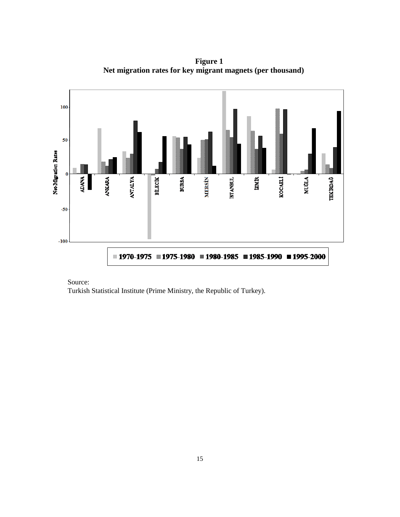100 50 Net-Mgration Rates  $\bf{0}$ **ANKARA BLECK BURSA ISTANBUL** KOCAELI **IZMIR ANTALYA MERSIN MUĞLA TEKIRDAG ADANA**  $-50$  $-100$  $\blacksquare$  1970-1975  $\blacksquare$  1975-1980  $\blacksquare$  1980-1985  $\blacksquare$  1985-1990  $\blacksquare$  1995-2000

 **Figure 1 Net migration rates for key migrant magnets (per thousand)**

Turkish Statistical Institute (Prime Ministry, the Republic of Turkey).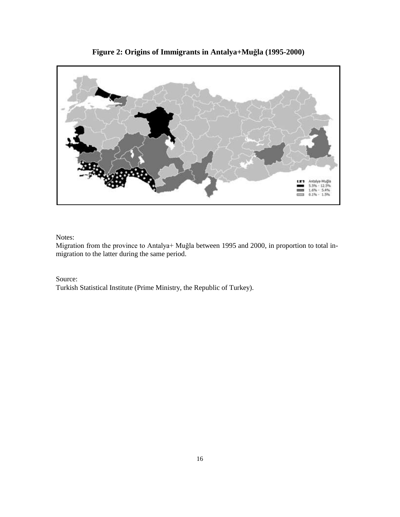

**Figure 2: Origins of Immigrants in Antalya+Muğla (1995-2000)**

Notes:

Migration from the province to Antalya+ Muğla between 1995 and 2000, in proportion to total inmigration to the latter during the same period.

Source:

Turkish Statistical Institute (Prime Ministry, the Republic of Turkey).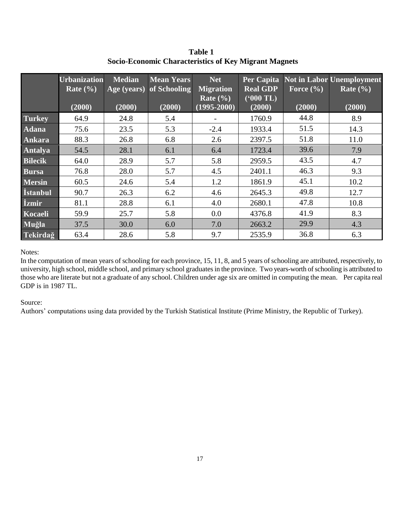|                        | <b>Urbanization</b><br>Rate $(\% )$ | <b>Median</b> | <b>Mean Years</b><br><b>Age (years)</b> of Schooling | <b>Net</b><br><b>Migration</b><br>Rate $(\% )$ | <b>Per Capita</b><br><b>Real GDP</b><br>$(900 \text{ TL})$ | Force $(\% )$ | <b>Not in Labor Unemployment</b><br>Rate $(\% )$ |
|------------------------|-------------------------------------|---------------|------------------------------------------------------|------------------------------------------------|------------------------------------------------------------|---------------|--------------------------------------------------|
|                        | (2000)                              | (2000)        | (2000)                                               | $(1995 - 2000)$                                | (2000)                                                     | (2000)        | (2000)                                           |
| <b>Turkey</b>          | 64.9                                | 24.8          | 5.4                                                  |                                                | 1760.9                                                     | 44.8          | 8.9                                              |
| <b>Adana</b>           | 75.6                                | 23.5          | 5.3                                                  | $-2.4$                                         | 1933.4                                                     | 51.5          | 14.3                                             |
| <b>Ankara</b>          | 88.3                                | 26.8          | 6.8                                                  | 2.6                                            | 2397.5                                                     | 51.8          | 11.0                                             |
| <b>Antalya</b>         | 54.5                                | 28.1          | 6.1                                                  | 6.4                                            | 1723.4                                                     | 39.6          | 7.9                                              |
| <b>Bilecik</b>         | 64.0                                | 28.9          | 5.7                                                  | 5.8                                            | 2959.5                                                     | 43.5          | 4.7                                              |
| <b>Bursa</b>           | 76.8                                | 28.0          | 5.7                                                  | 4.5                                            | 2401.1                                                     | 46.3          | 9.3                                              |
| Mersin                 | 60.5                                | 24.6          | 5.4                                                  | 1.2                                            | 1861.9                                                     | 45.1          | 10.2                                             |
| <i><b>Istanbul</b></i> | 90.7                                | 26.3          | 6.2                                                  | 4.6                                            | 2645.3                                                     | 49.8          | 12.7                                             |
| <i>izmir</i>           | 81.1                                | 28.8          | 6.1                                                  | 4.0                                            | 2680.1                                                     | 47.8          | 10.8                                             |
| Kocaeli                | 59.9                                | 25.7          | 5.8                                                  | 0.0                                            | 4376.8                                                     | 41.9          | 8.3                                              |
| Muğla                  | 37.5                                | 30.0          | 6.0                                                  | 7.0                                            | 2663.2                                                     | 29.9          | 4.3                                              |
| Tekirdağ               | 63.4                                | 28.6          | 5.8                                                  | 9.7                                            | 2535.9                                                     | 36.8          | 6.3                                              |

**Table 1 Socio-Economic Characteristics of Key Migrant Magnets**

In the computation of mean years of schooling for each province, 15, 11, 8, and 5 years of schooling are attributed, respectively, to university, high school, middle school, and primary school graduates in the province. Two years-worth of schooling is attributed to those who are literate but not a graduate of any school. Children under age six are omitted in computing the mean. Per capita real GDP is in 1987 TL.

#### Source: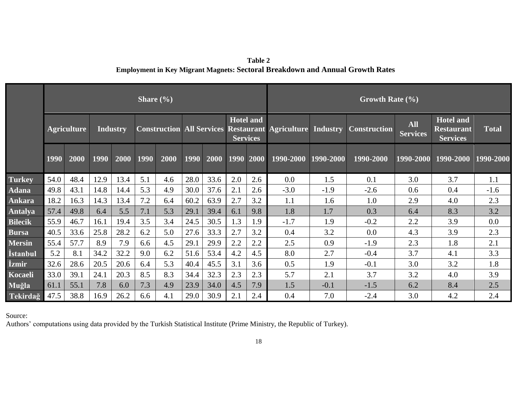| Table 2                                                                       |
|-------------------------------------------------------------------------------|
| Employment in Key Migrant Magnets: Sectoral Breakdown and Annual Growth Rates |

|                | Share $(\% )$ |                    |      |                 |      |      |      |      |     | Growth Rate $(\% )$                 |                                                         |                 |                     |                               |                                                          |              |
|----------------|---------------|--------------------|------|-----------------|------|------|------|------|-----|-------------------------------------|---------------------------------------------------------|-----------------|---------------------|-------------------------------|----------------------------------------------------------|--------------|
|                |               | <b>Agriculture</b> |      | <b>Industry</b> |      |      |      |      |     | <b>Hotel and</b><br><b>Services</b> | <b>Construction All Services Restaurant Agriculture</b> | <b>Industry</b> | <b>Construction</b> | <b>All</b><br><b>Services</b> | <b>Hotel and</b><br><b>Restaurant</b><br><b>Services</b> | <b>Total</b> |
|                | 1990          | 2000               | 1990 | 2000            | 1990 | 2000 | 1990 | 2000 |     | 1990 2000                           | 1990-2000                                               | 1990-2000       | 1990-2000           | 1990-2000                     | 1990-2000                                                | 1990-2000    |
| <b>Turkey</b>  | 54.0          | 48.4               | 12.9 | 13.4            | 5.1  | 4.6  | 28.0 | 33.6 | 2.0 | 2.6                                 | 0.0                                                     | 1.5             | 0.1                 | 3.0                           | 3.7                                                      | 1.1          |
| <b>Adana</b>   | 49.8          | 43.1               | 14.8 | 14.4            | 5.3  | 4.9  | 30.0 | 37.6 | 2.1 | 2.6                                 | $-3.0$                                                  | $-1.9$          | $-2.6$              | 0.6                           | 0.4                                                      | $-1.6$       |
| Ankara         | 18.2          | 16.3               | 14.3 | 13.4            | 7.2  | 6.4  | 60.2 | 63.9 | 2.7 | 3.2                                 | 1.1                                                     | 1.6             | 1.0                 | 2.9                           | 4.0                                                      | 2.3          |
| <b>Antalya</b> | 57.4          | 49.8               | 6.4  | 5.5             | 7.1  | 5.3  | 29.1 | 39.4 | 6.1 | 9.8                                 | 1.8                                                     | 1.7             | 0.3                 | 6.4                           | 8.3                                                      | 3.2          |
| <b>Bilecik</b> | 55.9          | 46.7               | 16.1 | 19.4            | 3.5  | 3.4  | 24.5 | 30.5 | 1.3 | 1.9                                 | $-1.7$                                                  | 1.9             | $-0.2$              | 2.2                           | 3.9                                                      | 0.0          |
| <b>Bursa</b>   | 40.5          | 33.6               | 25.8 | 28.2            | 6.2  | 5.0  | 27.6 | 33.3 | 2.7 | 3.2                                 | 0.4                                                     | 3.2             | 0.0                 | 4.3                           | 3.9                                                      | 2.3          |
| <b>Mersin</b>  | 55.4          | 57.7               | 8.9  | 7.9             | 6.6  | 4.5  | 29.1 | 29.9 | 2.2 | 2.2                                 | 2.5                                                     | 0.9             | $-1.9$              | 2.3                           | 1.8                                                      | 2.1          |
| İstanbul       | 5.2           | 8.1                | 34.2 | 32.2            | 9.0  | 6.2  | 51.6 | 53.4 | 4.2 | 4.5                                 | 8.0                                                     | 2.7             | $-0.4$              | 3.7                           | 4.1                                                      | 3.3          |
| İzmir          | 32.6          | 28.6               | 20.5 | 20.6            | 6.4  | 5.3  | 40.4 | 45.5 | 3.1 | 3.6                                 | 0.5                                                     | 1.9             | $-0.1$              | 3.0                           | 3.2                                                      | 1.8          |
| Kocaeli        | 33.0          | 39.1               | 24.1 | 20.3            | 8.5  | 8.3  | 34.4 | 32.3 | 2.3 | 2.3                                 | 5.7                                                     | 2.1             | 3.7                 | 3.2                           | 4.0                                                      | 3.9          |
| Muğla          | 61.1          | 55.1               | 7.8  | 6.0             | 7.3  | 4.9  | 23.9 | 34.0 | 4.5 | 7.9                                 | 1.5                                                     | $-0.1$          | $-1.5$              | 6.2                           | 8.4                                                      | 2.5          |
| Tekirdağ       | 47.5          | 38.8               | 16.9 | 26.2            | 6.6  | 4.1  | 29.0 | 30.9 | 2.1 | 2.4                                 | 0.4                                                     | 7.0             | $-2.4$              | 3.0                           | 4.2                                                      | 2.4          |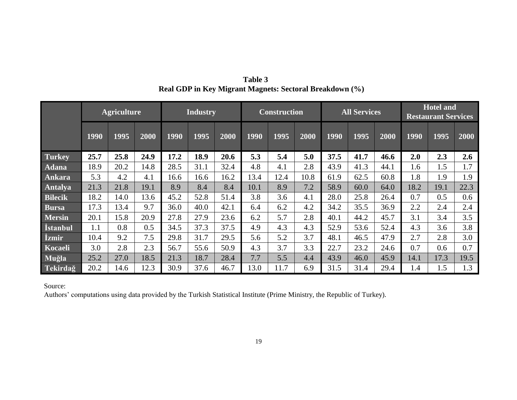|                 | <b>Agriculture</b> |      | <b>Industry</b> |      |      | <b>Construction</b> |      |      | <b>All Services</b> |      |      | <b>Hotel and</b><br><b>Restaurant Services</b> |      |      |      |
|-----------------|--------------------|------|-----------------|------|------|---------------------|------|------|---------------------|------|------|------------------------------------------------|------|------|------|
|                 | 1990               | 1995 | 2000            | 1990 | 1995 | 2000                | 1990 | 1995 | 2000                | 1990 | 1995 | 2000                                           | 1990 | 1995 | 2000 |
| <b>Turkey</b>   | 25.7               | 25.8 | 24.9            | 17.2 | 18.9 | 20.6                | 5.3  | 5.4  | 5.0                 | 37.5 | 41.7 | 46.6                                           | 2.0  | 2.3  | 2.6  |
| <b>Adana</b>    | 18.9               | 20.2 | 14.8            | 28.5 | 31.1 | 32.4                | 4.8  | 4.1  | 2.8                 | 43.9 | 41.3 | 44.1                                           | 1.6  | 1.5  | 1.7  |
| Ankara          | 5.3                | 4.2  | 4.1             | 16.6 | 16.6 | 16.2                | 13.4 | 12.4 | 10.8                | 61.9 | 62.5 | 60.8                                           | 1.8  | 1.9  | 1.9  |
| Antalya         | 21.3               | 21.8 | 19.1            | 8.9  | 8.4  | 8.4                 | 10.1 | 8.9  | 7.2                 | 58.9 | 60.0 | 64.0                                           | 18.2 | 19.1 | 22.3 |
| <b>Bilecik</b>  | 18.2               | 14.0 | 13.6            | 45.2 | 52.8 | 51.4                | 3.8  | 3.6  | 4.1                 | 28.0 | 25.8 | 26.4                                           | 0.7  | 0.5  | 0.6  |
| <b>Bursa</b>    | 17.3               | 13.4 | 9.7             | 36.0 | 40.0 | 42.1                | 6.4  | 6.2  | 4.2                 | 34.2 | 35.5 | 36.9                                           | 2.2  | 2.4  | 2.4  |
| Mersin          | 20.1               | 15.8 | 20.9            | 27.8 | 27.9 | 23.6                | 6.2  | 5.7  | 2.8                 | 40.1 | 44.2 | 45.7                                           | 3.1  | 3.4  | 3.5  |
| <i>istanbul</i> | 1.1                | 0.8  | 0.5             | 34.5 | 37.3 | 37.5                | 4.9  | 4.3  | 4.3                 | 52.9 | 53.6 | 52.4                                           | 4.3  | 3.6  | 3.8  |
| <i>izmir</i>    | 10.4               | 9.2  | 7.5             | 29.8 | 31.7 | 29.5                | 5.6  | 5.2  | 3.7                 | 48.1 | 46.5 | 47.9                                           | 2.7  | 2.8  | 3.0  |
| Kocaeli         | 3.0                | 2.8  | 2.3             | 56.7 | 55.6 | 50.9                | 4.3  | 3.7  | 3.3                 | 22.7 | 23.2 | 24.6                                           | 0.7  | 0.6  | 0.7  |
| Muğla           | 25.2               | 27.0 | 18.5            | 21.3 | 18.7 | 28.4                | 7.7  | 5.5  | 4.4                 | 43.9 | 46.0 | 45.9                                           | 14.1 | 17.3 | 19.5 |
| Tekirdağ        | 20.2               | 14.6 | 12.3            | 30.9 | 37.6 | 46.7                | 13.0 | 11.7 | 6.9                 | 31.5 | 31.4 | 29.4                                           | 1.4  | 1.5  | 1.3  |

**Table 3 Real GDP in Key Migrant Magnets: Sectoral Breakdown (%)**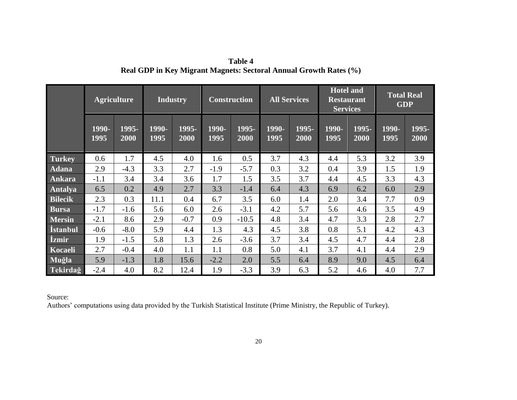|                 | <b>Agriculture</b> |               | <b>Industry</b> |               | <b>Construction</b> |               | <b>All Services</b> |               | <b>Hotel and</b><br><b>Restaurant</b><br><b>Services</b> |               | <b>Total Real</b><br><b>GDP</b> |               |
|-----------------|--------------------|---------------|-----------------|---------------|---------------------|---------------|---------------------|---------------|----------------------------------------------------------|---------------|---------------------------------|---------------|
|                 | 1990-<br>1995      | 1995-<br>2000 | 1990-<br>1995   | 1995-<br>2000 | 1990-<br>1995       | 1995-<br>2000 | 1990-<br>1995       | 1995-<br>2000 | 1990-<br>1995                                            | 1995-<br>2000 | 1990-<br>1995                   | 1995-<br>2000 |
| <b>Turkey</b>   | 0.6                | 1.7           | 4.5             | 4.0           | 1.6                 | 0.5           | 3.7                 | 4.3           | 4.4                                                      | 5.3           | 3.2                             | 3.9           |
| <b>Adana</b>    | 2.9                | $-4.3$        | 3.3             | 2.7           | $-1.9$              | $-5.7$        | 0.3                 | 3.2           | 0.4                                                      | 3.9           | 1.5                             | 1.9           |
| <b>Ankara</b>   | $-1.1$             | 3.4           | 3.4             | 3.6           | 1.7                 | 1.5           | 3.5                 | 3.7           | 4.4                                                      | 4.5           | 3.3                             | 4.3           |
| <b>Antalya</b>  | 6.5                | 0.2           | 4.9             | 2.7           | 3.3                 | $-1.4$        | 6.4                 | 4.3           | 6.9                                                      | 6.2           | 6.0                             | 2.9           |
| <b>Bilecik</b>  | 2.3                | 0.3           | 11.1            | 0.4           | 6.7                 | 3.5           | 6.0                 | 1.4           | 2.0                                                      | 3.4           | 7.7                             | 0.9           |
| <b>Bursa</b>    | $-1.7$             | $-1.6$        | 5.6             | 6.0           | 2.6                 | $-3.1$        | 4.2                 | 5.7           | 5.6                                                      | 4.6           | 3.5                             | 4.9           |
| <b>Mersin</b>   | $-2.1$             | 8.6           | 2.9             | $-0.7$        | 0.9                 | $-10.5$       | 4.8                 | 3.4           | 4.7                                                      | 3.3           | 2.8                             | 2.7           |
| <i>istanbul</i> | $-0.6$             | $-8.0$        | 5.9             | 4.4           | 1.3                 | 4.3           | 4.5                 | 3.8           | 0.8                                                      | 5.1           | 4.2                             | 4.3           |
| <i>izmir</i>    | 1.9                | $-1.5$        | 5.8             | 1.3           | 2.6                 | $-3.6$        | 3.7                 | 3.4           | 4.5                                                      | 4.7           | 4.4                             | 2.8           |
| Kocaeli         | 2.7                | $-0.4$        | 4.0             | 1.1           | 1.1                 | 0.8           | 5.0                 | 4.1           | 3.7                                                      | 4.1           | 4.4                             | 2.9           |
| Muğla           | 5.9                | $-1.3$        | 1.8             | 15.6          | $-2.2$              | 2.0           | 5.5                 | 6.4           | 8.9                                                      | 9.0           | 4.5                             | 6.4           |
| Tekirdağ        | $-2.4$             | 4.0           | 8.2             | 12.4          | 1.9                 | $-3.3$        | 3.9                 | 6.3           | 5.2                                                      | 4.6           | 4.0                             | 7.7           |

**Table 4 Real GDP in Key Migrant Magnets: Sectoral Annual Growth Rates (%)**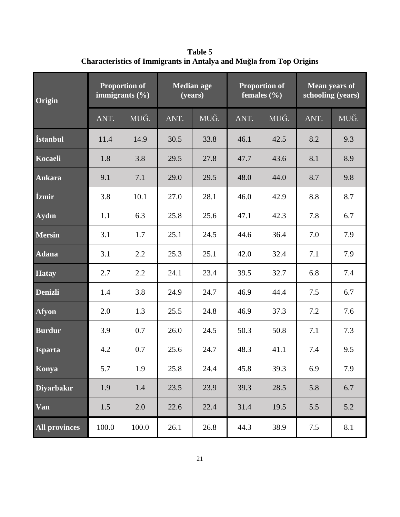**Origin Proportion of immigrants (%) Median age (years) Proportion of females (%) Mean years of schooling (years)** ANT. MUĞ. ANT. MUĞ. ANT. MUĞ. ANT. MUĞ. **İstanbul** 11.4 14.9 30.5 33.8 46.1 42.5 8.2 9.3 **Kocaeli** 1.8 3.8 29.5 27.8 47.7 43.6 8.1 8.9 **Ankara** 9.1 7.1 29.0 29.5 48.0 44.0 8.7 9.8 **İzmir** 3.8 10.1 27.0 28.1 46.0 42.9 8.8 8.7 **Aydın** 1.1 6.3 25.8 25.6 47.1 42.3 7.8 6.7 **Mersin 1 3.1 1.7 25.1 24.5 44.6 36.4 7.0 7.9 Adana** 3.1 2.2 25.3 25.1 42.0 32.4 7.1 7.9 **Hatay** 2.7 2.2 24.1 23.4 39.5 32.7 6.8 7.4 **Denizli** 1.4 3.8 24.9 24.7 46.9 44.4 7.5 6.7 **Afyon** 2.0 1.3 25.5 24.8 46.9 37.3 7.2 7.6 **Burdur** 3.9 0.7 26.0 24.5 50.3 50.8 7.1 7.3 **Isparta** 4.2 0.7 25.6 24.7 48.3 41.1 7.4 9.5 **Konya** 5.7 1.9 25.8 24.4 45.8 39.3 6.9 7.9 **Diyarbakır** 1.9 1.4 23.5 23.9 39.3 28.5 5.8 6.7 **Van** 1.5 2.0 22.6 22.4 31.4 19.5 5.5 5.2 **All provinces** 100.0 100.0 26.1 26.8 44.3 38.9 7.5 8.1

**Table 5 Characteristics of Immigrants in Antalya and Muğla from Top Origins**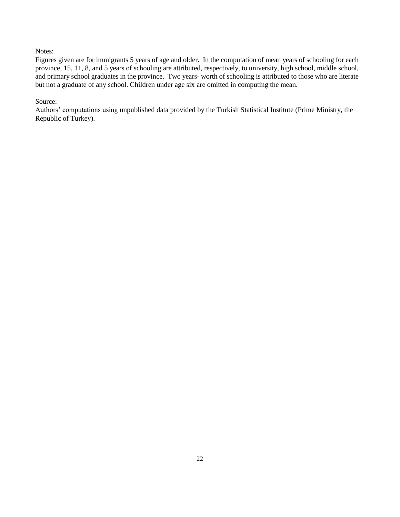Figures given are for immigrants 5 years of age and older. In the computation of mean years of schooling for each province, 15, 11, 8, and 5 years of schooling are attributed, respectively, to university, high school, middle school, and primary school graduates in the province. Two years- worth of schooling is attributed to those who are literate but not a graduate of any school. Children under age six are omitted in computing the mean.

### Source: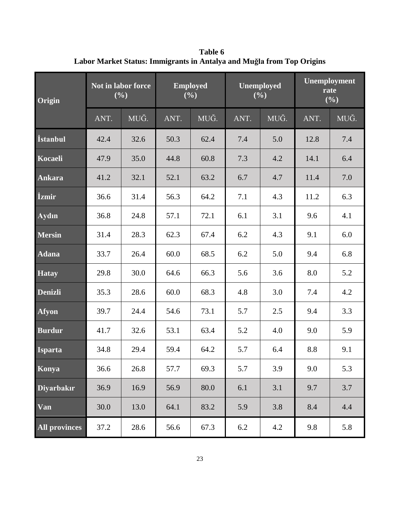| Origin               | (%)  | <b>Not in labor force</b> |      | <b>Employed</b><br>(%) |      | <b>Unemployed</b><br>(%) | Unemployment<br>rate<br>(%) |      |
|----------------------|------|---------------------------|------|------------------------|------|--------------------------|-----------------------------|------|
|                      | ANT. | MUĞ.                      | ANT. | MUĞ.                   | ANT. | MUĞ.                     | ANT.                        | MUĞ. |
| <i>istanbul</i>      | 42.4 | 32.6                      | 50.3 | 62.4                   | 7.4  | 5.0                      | 12.8                        | 7.4  |
| Kocaeli              | 47.9 | 35.0                      | 44.8 | 60.8                   | 7.3  | 4.2                      | 14.1                        | 6.4  |
| Ankara               | 41.2 | 32.1                      | 52.1 | 63.2                   | 6.7  | 4.7                      | 11.4                        | 7.0  |
| <i>izmir</i>         | 36.6 | 31.4                      | 56.3 | 64.2                   | 7.1  | 4.3                      | 11.2                        | 6.3  |
| Aydın                | 36.8 | 24.8                      | 57.1 | 72.1                   | 6.1  | 3.1                      | 9.6                         | 4.1  |
| <b>Mersin</b>        | 31.4 | 28.3                      | 62.3 | 67.4                   | 6.2  | 4.3                      | 9.1                         | 6.0  |
| <b>Adana</b>         | 33.7 | 26.4                      | 60.0 | 68.5                   | 6.2  | 5.0                      | 9.4                         | 6.8  |
| <b>Hatay</b>         | 29.8 | 30.0                      | 64.6 | 66.3                   | 5.6  | 3.6                      | 8.0                         | 5.2  |
| <b>Denizli</b>       | 35.3 | 28.6                      | 60.0 | 68.3                   | 4.8  | 3.0                      | 7.4                         | 4.2  |
| <b>Afyon</b>         | 39.7 | 24.4                      | 54.6 | 73.1                   | 5.7  | 2.5                      | 9.4                         | 3.3  |
| <b>Burdur</b>        | 41.7 | 32.6                      | 53.1 | 63.4                   | 5.2  | 4.0                      | 9.0                         | 5.9  |
| Isparta              | 34.8 | 29.4                      | 59.4 | 64.2                   | 5.7  | 6.4                      | 8.8                         | 9.1  |
| Konya                | 36.6 | 26.8                      | 57.7 | 69.3                   | 5.7  | 3.9                      | 9.0                         | 5.3  |
| <b>Diyarbakır</b>    | 36.9 | 16.9                      | 56.9 | 80.0                   | 6.1  | 3.1                      | 9.7                         | 3.7  |
| Van                  | 30.0 | 13.0                      | 64.1 | 83.2                   | 5.9  | 3.8                      | 8.4                         | 4.4  |
| <b>All provinces</b> | 37.2 | 28.6                      | 56.6 | 67.3                   | 6.2  | 4.2                      | 9.8                         | 5.8  |

**Table 6 Labor Market Status: Immigrants in Antalya and Muğla from Top Origins**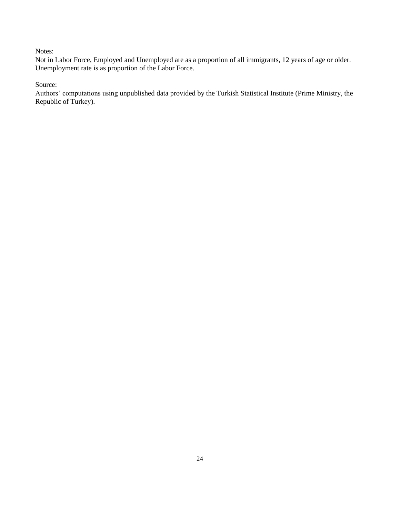Not in Labor Force, Employed and Unemployed are as a proportion of all immigrants, 12 years of age or older. Unemployment rate is as proportion of the Labor Force.

### Source: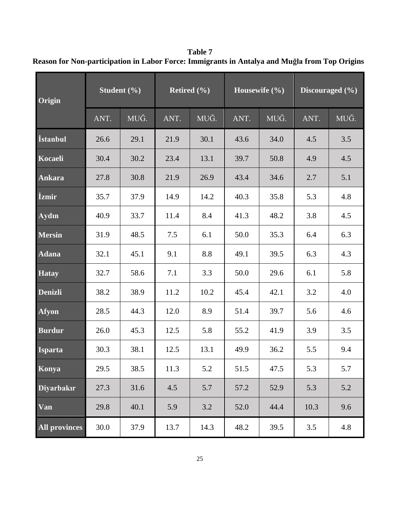| Origin               | Student (%) |      |      | Retired $(\% )$ | Housewife $(\% )$ |      | Discouraged $(\% )$ |      |  |
|----------------------|-------------|------|------|-----------------|-------------------|------|---------------------|------|--|
|                      | ANT.        | MUĞ. | ANT. | MUĞ.            | ANT.              | MUĞ. | ANT.                | MUĞ. |  |
| <i>istanbul</i>      | 26.6        | 29.1 | 21.9 | 30.1            | 43.6              | 34.0 | 4.5                 | 3.5  |  |
| Kocaeli              | 30.4        | 30.2 | 23.4 | 13.1            | 39.7              | 50.8 | 4.9                 | 4.5  |  |
| <b>Ankara</b>        | 27.8        | 30.8 | 21.9 | 26.9            | 43.4              | 34.6 | 2.7                 | 5.1  |  |
| <i>izmir</i>         | 35.7        | 37.9 | 14.9 | 14.2            | 40.3              | 35.8 | 5.3                 | 4.8  |  |
| <b>Aydın</b>         | 40.9        | 33.7 | 11.4 | 8.4             | 41.3              | 48.2 | 3.8                 | 4.5  |  |
| <b>Mersin</b>        | 31.9        | 48.5 | 7.5  | 6.1             | 50.0              | 35.3 | 6.4                 | 6.3  |  |
| <b>Adana</b>         | 32.1        | 45.1 | 9.1  | 8.8             | 49.1              | 39.5 | 6.3                 | 4.3  |  |
| <b>Hatay</b>         | 32.7        | 58.6 | 7.1  | 3.3             | 50.0              | 29.6 | 6.1                 | 5.8  |  |
| <b>Denizli</b>       | 38.2        | 38.9 | 11.2 | 10.2            | 45.4              | 42.1 | 3.2                 | 4.0  |  |
| <b>Afyon</b>         | 28.5        | 44.3 | 12.0 | 8.9             | 51.4              | 39.7 | 5.6                 | 4.6  |  |
| <b>Burdur</b>        | 26.0        | 45.3 | 12.5 | 5.8             | 55.2              | 41.9 | 3.9                 | 3.5  |  |
| <b>Isparta</b>       | 30.3        | 38.1 | 12.5 | 13.1            | 49.9              | 36.2 | 5.5                 | 9.4  |  |
| Konya                | 29.5        | 38.5 | 11.3 | 5.2             | 51.5              | 47.5 | 5.3                 | 5.7  |  |
| Diyarbakır           | 27.3        | 31.6 | 4.5  | 5.7             | 57.2              | 52.9 | 5.3                 | 5.2  |  |
| Van                  | 29.8        | 40.1 | 5.9  | 3.2             | 52.0              | 44.4 | 10.3                | 9.6  |  |
| <b>All provinces</b> | 30.0        | 37.9 | 13.7 | 14.3            | 48.2              | 39.5 | 3.5                 | 4.8  |  |

**Table 7 Reason for Non-participation in Labor Force: Immigrants in Antalya and Muğla from Top Origins**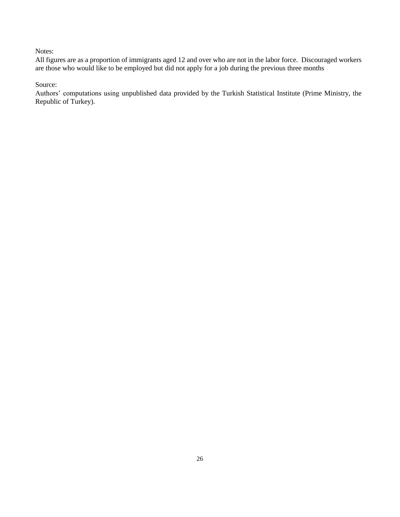All figures are as a proportion of immigrants aged 12 and over who are not in the labor force. Discouraged workers are those who would like to be employed but did not apply for a job during the previous three months

#### Source: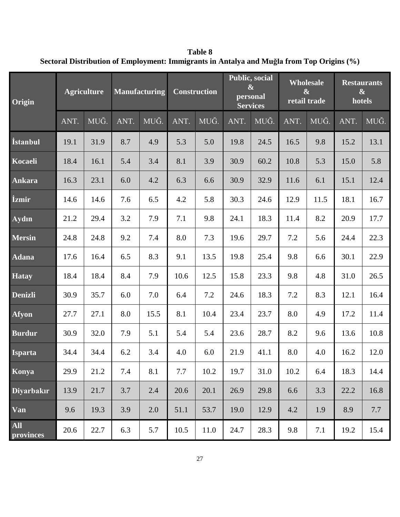**Origin Agriculture Manufacturing Construction Public, social & personal Services Wholesale & retail trade Restaurants & hotels** ANT. MUĞ. ANT. MUĞ. ANT. MUĞ. ANT. MUĞ. ANT. MUĞ. ANT. MUĞ. **İstanbul** 19.1 31.9 8.7 4.9 5.3 5.0 19.8 24.5 16.5 9.8 15.2 13.1 **Kocaeli** | 18.4 | 16.1 | 5.4 | 3.4 | 8.1 | 3.9 | 30.9 | 60.2 | 10.8 | 5.3 | 15.0 | 5.8 **Ankara** 16.3 23.1 6.0 4.2 6.3 6.6 30.9 32.9 11.6 6.1 15.1 12.4 **Izmir** 14.6 14.6 7.6 6.5 4.2 5.8 30.3 24.6 12.9 11.5 18.1 16.7 **Aydın** 21.2 29.4 3.2 7.9 7.1 9.8 24.1 18.3 11.4 8.2 20.9 17.7 **Mersin** 24.8 24.8 9.2 7.4 8.0 7.3 19.6 29.7 7.2 5.6 24.4 22.3 **Adana** 17.6 16.4 6.5 8.3 9.1 13.5 19.8 25.4 9.8 6.6 30.1 22.9 **Hatay** 18.4 18.4 8.4 7.9 10.6 12.5 15.8 23.3 9.8 4.8 31.0 26.5 **Denizli** 30.9 35.7 6.0 7.0 6.4 7.2 24.6 18.3 7.2 8.3 12.1 16.4 **Afyon** 27.7 27.1 8.0 15.5 8.1 10.4 23.4 23.7 8.0 4.9 17.2 11.4 **Burdur** 30.9 32.0 7.9 5.1 5.4 5.4 23.6 28.7 8.2 9.6 13.6 10.8 **Isparta** 34.4 34.4 6.2 3.4 4.0 6.0 21.9 41.1 8.0 4.0 16.2 12.0 **Konya** 29.9 21.2 7.4 8.1 7.7 10.2 19.7 31.0 10.2 6.4 18.3 14.4 **Diyarbakır** 13.9 21.7 3.7 2.4 20.6 20.1 26.9 29.8 6.6 3.3 22.2 16.8 **Van** 9.6 19.3 3.9 2.0 51.1 53.7 19.0 12.9 4.2 1.9 8.9 7.7 **All provinces** 20.6 22.7 6.3 5.7 10.5 11.0 24.7 28.3 9.8 7.1 19.2 15.4

**Table 8 Sectoral Distribution of Employment: Immigrants in Antalya and Muğla from Top Origins (%)**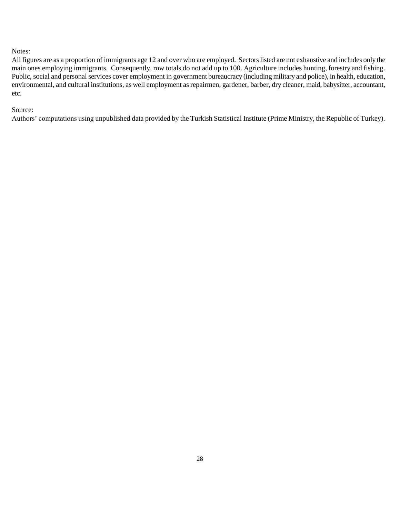All figures are as a proportion of immigrants age 12 and over who are employed. Sectors listed are not exhaustive and includes only the main ones employing immigrants. Consequently, row totals do not add up to 100. Agriculture includes hunting, forestry and fishing. Public, social and personal services cover employment in government bureaucracy (including military and police), in health, education, environmental, and cultural institutions, as well employment as repairmen, gardener, barber, dry cleaner, maid, babysitter, accountant, etc.

### Source: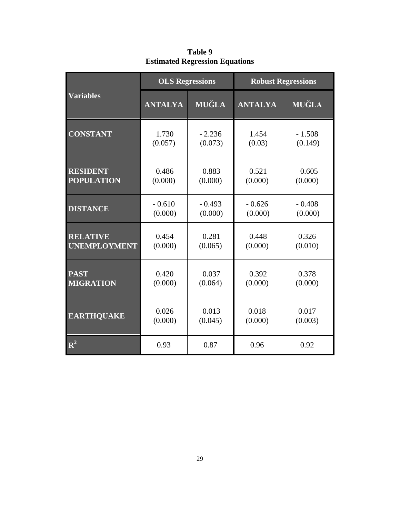|                     | <b>OLS Regressions</b> |              | <b>Robust Regressions</b> |              |  |  |  |
|---------------------|------------------------|--------------|---------------------------|--------------|--|--|--|
| <b>Variables</b>    | <b>ANTALYA</b>         | <b>MUĞLA</b> | <b>ANTALYA</b>            | <b>MUĞLA</b> |  |  |  |
| <b>CONSTANT</b>     | 1.730                  | $-2.236$     | 1.454                     | $-1.508$     |  |  |  |
|                     | (0.057)                | (0.073)      | (0.03)                    | (0.149)      |  |  |  |
| <b>RESIDENT</b>     | 0.486                  | 0.883        | 0.521                     | 0.605        |  |  |  |
| <b>POPULATION</b>   | (0.000)                | (0.000)      | (0.000)                   | (0.000)      |  |  |  |
| <b>DISTANCE</b>     | $-0.610$               | $-0.493$     | $-0.626$                  | $-0.408$     |  |  |  |
|                     | (0.000)                | (0.000)      | (0.000)                   | (0.000)      |  |  |  |
| <b>RELATIVE</b>     | 0.454                  | 0.281        | 0.448                     | 0.326        |  |  |  |
| <b>UNEMPLOYMENT</b> | (0.000)                | (0.065)      | (0.000)                   | (0.010)      |  |  |  |
| <b>PAST</b>         | 0.420                  | 0.037        | 0.392                     | 0.378        |  |  |  |
| <b>MIGRATION</b>    | (0.000)                | (0.064)      | (0.000)                   | (0.000)      |  |  |  |
| <b>EARTHQUAKE</b>   | 0.026                  | 0.013        | 0.018                     | 0.017        |  |  |  |
|                     | (0.000)                | (0.045)      | (0.000)                   | (0.003)      |  |  |  |
| $\mathbf{R}^2$      | 0.93                   | 0.87         | 0.96                      | 0.92         |  |  |  |

**Table 9 Estimated Regression Equations**